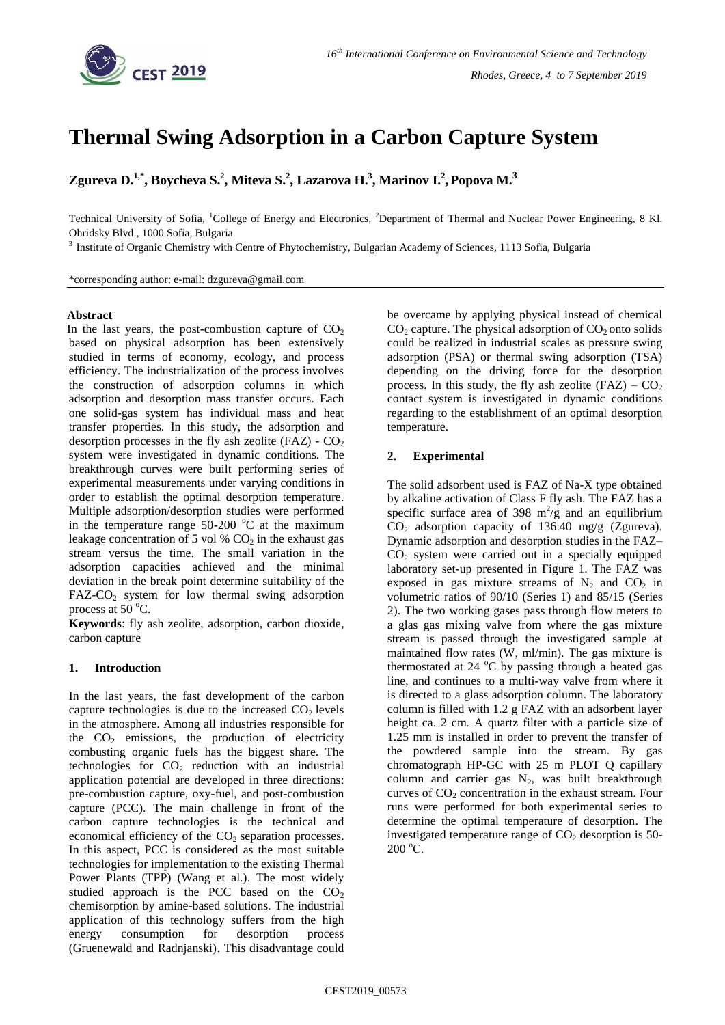

# **Thermal Swing Adsorption in a Carbon Capture System**

**Zgureva D.1,\* , Boycheva S.<sup>2</sup> , Miteva S.<sup>2</sup> , Lazarova H. 3 , Marinov I.<sup>2</sup> ,Popova M.<sup>3</sup>**

Technical University of Sofia, <sup>1</sup>College of Energy and Electronics, <sup>2</sup>Department of Thermal and Nuclear Power Engineering, 8 Kl. Ohridsky Blvd., 1000 Sofia, Bulgaria

<sup>3</sup> Institute of Organic Chemistry with Centre of Phytochemistry, Bulgarian Academy of Sciences, 1113 Sofia, Bulgaria

\*corresponding author: e-mail: dzgureva@gmail.com

## **Abstract**

In the last years, the post-combustion capture of  $CO<sub>2</sub>$ based on physical adsorption has been extensively studied in terms of economy, ecology, and process efficiency. The industrialization of the process involves the construction of adsorption columns in which adsorption and desorption mass transfer occurs. Each one solid-gas system has individual mass and heat transfer properties. In this study, the adsorption and desorption processes in the fly ash zeolite (FAZ) -  $CO<sub>2</sub>$ system were investigated in dynamic conditions. The breakthrough curves were built performing series of experimental measurements under varying conditions in order to establish the optimal desorption temperature. Multiple adsorption/desorption studies were performed in the temperature range  $50-200$  °C at the maximum leakage concentration of 5 vol  $% CO<sub>2</sub>$  in the exhaust gas stream versus the time. The small variation in the adsorption capacities achieved and the minimal deviation in the break point determine suitability of the  $FAZ-CO<sub>2</sub>$  system for low thermal swing adsorption process at  $50^{\circ}$ C.

**Keywords**: fly ash zeolite, adsorption, carbon dioxide, carbon capture

## **1. Introduction**

In the last years, the fast development of the carbon capture technologies is due to the increased  $CO<sub>2</sub>$  levels in the atmosphere. Among all industries responsible for the  $CO<sub>2</sub>$  emissions, the production of electricity combusting organic fuels has the biggest share. The technologies for  $CO<sub>2</sub>$  reduction with an industrial application potential are developed in three directions: pre-combustion capture, oxy-fuel, and post-combustion capture (PCC). The main challenge in front of the carbon capture technologies is the technical and economical efficiency of the  $CO<sub>2</sub>$  separation processes. In this aspect, PCC is considered as the most suitable technologies for implementation to the existing Thermal Power Plants (TPP) (Wang et al.). The most widely studied approach is the PCC based on the  $CO<sub>2</sub>$ chemisorption by amine-based solutions. The industrial application of this technology suffers from the high energy consumption for desorption process (Gruenewald and Radnjanski). This disadvantage could

be overcame by applying physical instead of chemical  $CO<sub>2</sub>$  capture. The physical adsorption of  $CO<sub>2</sub>$  onto solids could be realized in industrial scales as pressure swing adsorption (PSA) or thermal swing adsorption (TSA) depending on the driving force for the desorption process. In this study, the fly ash zeolite  $(FAZ) - CO<sub>2</sub>$ contact system is investigated in dynamic conditions regarding to the establishment of an optimal desorption temperature.

# **2. Experimental**

The solid adsorbent used is FAZ of Na-X type obtained by alkaline activation of Class F fly ash. The FAZ has a specific surface area of 398  $m^2/g$  and an equilibrium  $CO<sub>2</sub>$  adsorption capacity of 136.40 mg/g (Zgureva). Dynamic adsorption and desorption studies in the FAZ–  $CO<sub>2</sub>$  system were carried out in a specially equipped laboratory set-up presented in Figure 1. The FAZ was exposed in gas mixture streams of  $N_2$  and  $CO_2$  in volumetric ratios of 90/10 (Series 1) and 85/15 (Series 2). The two working gases pass through flow meters to a glas gas mixing valve from where the gas mixture stream is passed through the investigated sample at maintained flow rates (W, ml/min). The gas mixture is thermostated at 24  $^{\circ}$ C by passing through a heated gas line, and continues to a multi-way valve from where it is directed to a glass adsorption column. The laboratory column is filled with 1.2 g FAZ with an adsorbent layer height ca. 2 cm. A quartz filter with a particle size of 1.25 mm is installed in order to prevent the transfer of the powdered sample into the stream. By gas chromatograph HP-GC with 25 m PLOT Q capillary column and carrier gas  $N_2$ , was built breakthrough curves of  $CO<sub>2</sub>$  concentration in the exhaust stream. Four runs were performed for both experimental series to determine the optimal temperature of desorption. The investigated temperature range of  $CO<sub>2</sub>$  desorption is 50- $200 \degree C$ .